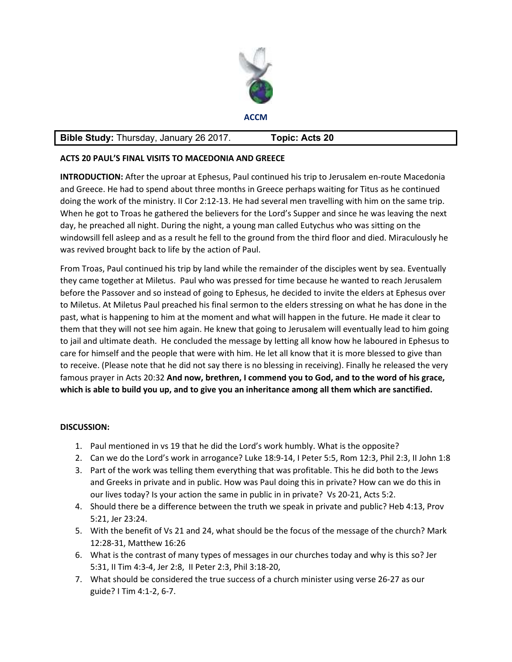

**ACCM** 

## **Bible Study:** Thursday, January 26 2017. **Topic: Acts 20**

## **ACTS 20 PAUL'S FINAL VISITS TO MACEDONIA AND GREECE**

**INTRODUCTION:** After the uproar at Ephesus, Paul continued his trip to Jerusalem en-route Macedonia and Greece. He had to spend about three months in Greece perhaps waiting for Titus as he continued doing the work of the ministry. II Cor 2:12-13. He had several men travelling with him on the same trip. When he got to Troas he gathered the believers for the Lord's Supper and since he was leaving the next day, he preached all night. During the night, a young man called Eutychus who was sitting on the windowsill fell asleep and as a result he fell to the ground from the third floor and died. Miraculously he was revived brought back to life by the action of Paul.

From Troas, Paul continued his trip by land while the remainder of the disciples went by sea. Eventually they came together at Miletus. Paul who was pressed for time because he wanted to reach Jerusalem before the Passover and so instead of going to Ephesus, he decided to invite the elders at Ephesus over to Miletus. At Miletus Paul preached his final sermon to the elders stressing on what he has done in the past, what is happening to him at the moment and what will happen in the future. He made it clear to them that they will not see him again. He knew that going to Jerusalem will eventually lead to him going to jail and ultimate death. He concluded the message by letting all know how he laboured in Ephesus to care for himself and the people that were with him. He let all know that it is more blessed to give than to receive. (Please note that he did not say there is no blessing in receiving). Finally he released the very famous prayer in Acts 20:32 **And now, brethren, I commend you to God, and to the word of his grace, which is able to build you up, and to give you an inheritance among all them which are sanctified.**

## **DISCUSSION:**

- 1. Paul mentioned in vs 19 that he did the Lord's work humbly. What is the opposite?
- 2. Can we do the Lord's work in arrogance? Luke 18:9-14, I Peter 5:5, Rom 12:3, Phil 2:3, II John 1:8
- 3. Part of the work was telling them everything that was profitable. This he did both to the Jews and Greeks in private and in public. How was Paul doing this in private? How can we do this in our lives today? Is your action the same in public in in private? Vs 20-21, Acts 5:2.
- 4. Should there be a difference between the truth we speak in private and public? Heb 4:13, Prov 5:21, Jer 23:24.
- 5. With the benefit of Vs 21 and 24, what should be the focus of the message of the church? Mark 12:28-31, Matthew 16:26
- 6. What is the contrast of many types of messages in our churches today and why is this so? Jer 5:31, II Tim 4:3-4, Jer 2:8, II Peter 2:3, Phil 3:18-20,
- 7. What should be considered the true success of a church minister using verse 26-27 as our guide? I Tim 4:1-2, 6-7.